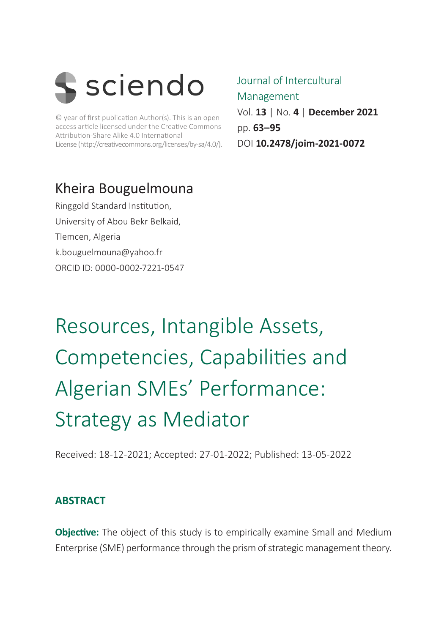

© year of first publication Author(s). This is an open access article licensed under the Creative Commons Attribution-Share Alike 4.0 International License (http://creativecommons.org/licenses/by-sa/4.0/).

### Kheira Bouguelmouna

Ringgold Standard Institution, University of Abou Bekr Belkaid, Tlemcen, Algeria [k.bouguelmouna@yahoo.fr](mailto:k.bouguelmouna@yahoo.fr) ORCID ID: 0000-0002-7221-0547

### Journal of Intercultural Management Vol. **13** | No. **4** | **December 2021** pp. **63–95** DOI **10.2478/joim-2021-0072**

Resources, Intangible Assets, Competencies, Capabilities and Algerian SMEs' Performance: Strategy as Mediator

Received: 18-12-2021; Accepted: 27-01-2022; Published: 13-05-2022

### **ABSTRACT**

**Objective:** The object of this study is to empirically examine Small and Medium Enterprise (SME) performance through the prism of strategic management theory.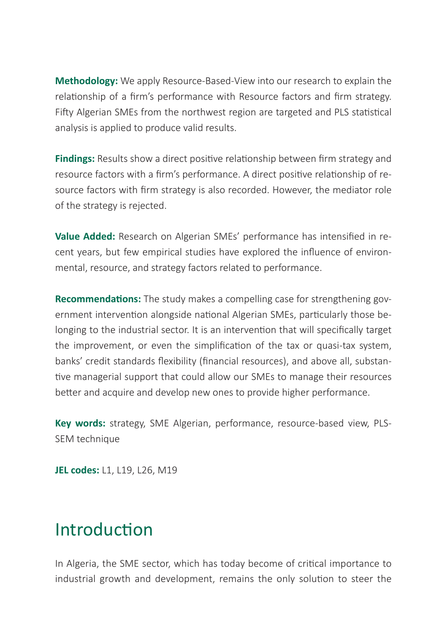**Methodology:** We apply Resource-Based-View into our research to explain the relationship of a firm's performance with Resource factors and firm strategy. Fifty Algerian SMEs from the northwest region are targeted and PLS statistical analysis is applied to produce valid results.

**Findings:** Results show a direct positive relationship between firm strategy and resource factors with a firm's performance. A direct positive relationship of resource factors with firm strategy is also recorded. However, the mediator role of the strategy is rejected.

**Value Added:** Research on Algerian SMEs' performance has intensified in recent years, but few empirical studies have explored the influence of environmental, resource, and strategy factors related to performance.

**Recommendations:** The study makes a compelling case for strengthening government intervention alongside national Algerian SMEs, particularly those belonging to the industrial sector. It is an intervention that will specifically target the improvement, or even the simplification of the tax or quasi-tax system, banks' credit standards flexibility (financial resources), and above all, substantive managerial support that could allow our SMEs to manage their resources better and acquire and develop new ones to provide higher performance.

**Key words:** strategy, SME Algerian, performance, resource-based view, PLS-SEM technique

**JEL codes:** L1, L19, L26, M19

## Introduction

In Algeria, the SME sector, which has today become of critical importance to industrial growth and development, remains the only solution to steer the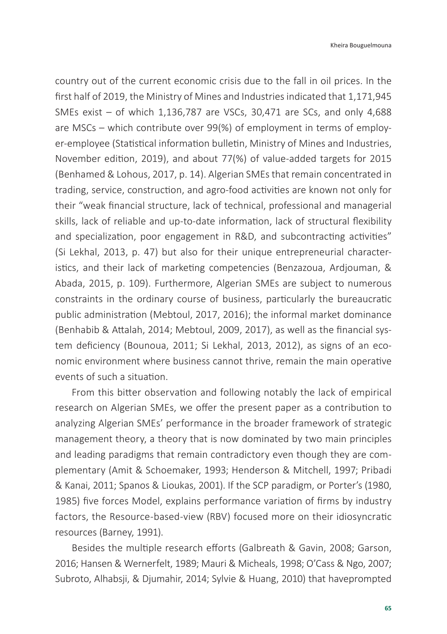country out of the current economic crisis due to the fall in oil prices. In the first half of 2019, the Ministry of Mines and Industries indicated that 1,171,945 SMEs exist – of which 1,136,787 are VSCs, 30,471 are SCs, and only 4,688 are MSCs – which contribute over 99(%) of employment in terms of employer-employee (Statistical information bulletin, Ministry of Mines and Industries, November edition, 2019), and about 77(%) of value-added targets for 2015 (Benhamed & Lohous, 2017, p. 14). Algerian SMEs that remain concentrated in trading, service, construction, and agro-food activities are known not only for their "weak financial structure, lack of technical, professional and managerial skills, lack of reliable and up-to-date information, lack of structural flexibility and specialization, poor engagement in R&D, and subcontracting activities" (Si Lekhal, 2013, p. 47) but also for their unique entrepreneurial characteristics, and their lack of marketing competencies (Benzazoua, Ardjouman, & Abada, 2015, p. 109). Furthermore, Algerian SMEs are subject to numerous constraints in the ordinary course of business, particularly the bureaucratic public administration (Mebtoul, 2017, 2016); the informal market dominance (Benhabib & Attalah, 2014; Mebtoul, 2009, 2017), as well as the financial system deficiency (Bounoua, 2011; Si Lekhal, 2013, 2012), as signs of an economic environment where business cannot thrive, remain the main operative events of such a situation.

From this bitter observation and following notably the lack of empirical research on Algerian SMEs, we offer the present paper as a contribution to analyzing Algerian SMEs' performance in the broader framework of strategic management theory, a theory that is now dominated by two main principles and leading paradigms that remain contradictory even though they are complementary (Amit & Schoemaker, 1993; Henderson & Mitchell, 1997; Pribadi & Kanai, 2011; Spanos & Lioukas, 2001). If the SCP paradigm, or Porter's (1980, 1985) five forces Model, explains performance variation of firms by industry factors, the Resource-based-view (RBV) focused more on their idiosyncratic resources (Barney, 1991).

Besides the multiple research efforts (Galbreath & Gavin, 2008; Garson, 2016; Hansen & Wernerfelt, 1989; Mauri & Micheals, 1998; O'Cass & Ngo, 2007; Subroto, Alhabsji, & Djumahir, 2014; Sylvie & Huang, 2010) that haveprompted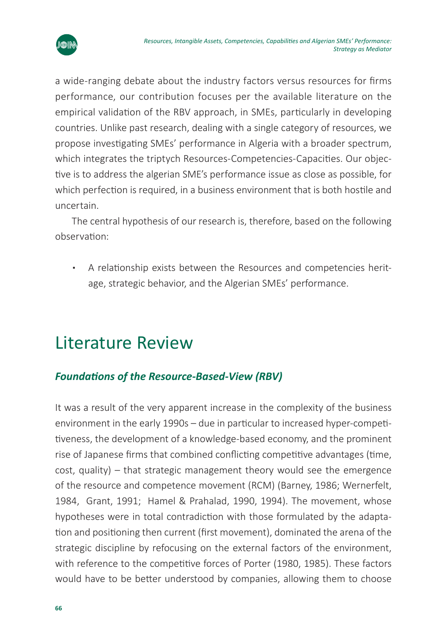

a wide-ranging debate about the industry factors versus resources for firms performance, our contribution focuses per the available literature on the empirical validation of the RBV approach, in SMEs, particularly in developing countries. Unlike past research, dealing with a single category of resources, we propose investigating SMEs' performance in Algeria with a broader spectrum, which integrates the triptych Resources-Competencies-Capacities. Our objective is to address the algerian SME's performance issue as close as possible, for which perfection is required, in a business environment that is both hostile and uncertain.

The central hypothesis of our research is, therefore, based on the following observation:

▪ A relationship exists between the Resources and competencies heritage, strategic behavior, and the Algerian SMEs' performance.

## Literature Review

### *Foundations of the Resource-Based-View (RBV)*

It was a result of the very apparent increase in the complexity of the business environment in the early 1990s – due in particular to increased hyper-competitiveness, the development of a knowledge-based economy, and the prominent rise of Japanese firms that combined conflicting competitive advantages (time, cost, quality) – that strategic management theory would see the emergence of the resource and competence movement (RCM) (Barney, 1986; Wernerfelt, 1984, Grant, 1991; Hamel & Prahalad, 1990, 1994). The movement, whose hypotheses were in total contradiction with those formulated by the adaptation and positioning then current (first movement), dominated the arena of the strategic discipline by refocusing on the external factors of the environment, with reference to the competitive forces of Porter (1980, 1985). These factors would have to be better understood by companies, allowing them to choose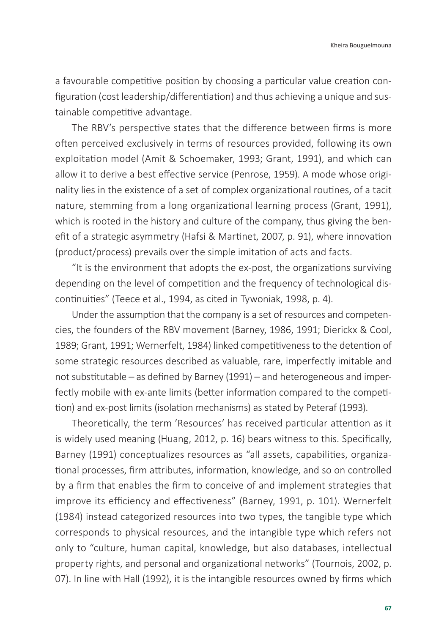Kheira Bouguelmouna

a favourable competitive position by choosing a particular value creation configuration (cost leadership/differentiation) and thus achieving a unique and sustainable competitive advantage.

The RBV's perspective states that the difference between firms is more often perceived exclusively in terms of resources provided, following its own exploitation model (Amit & Schoemaker, 1993; Grant, 1991), and which can allow it to derive a best effective service (Penrose, 1959). A mode whose originality lies in the existence of a set of complex organizational routines, of a tacit nature, stemming from a long organizational learning process (Grant, 1991), which is rooted in the history and culture of the company, thus giving the benefit of a strategic asymmetry (Hafsi & Martinet, 2007, p. 91), where innovation (product/process) prevails over the simple imitation of acts and facts.

"It is the environment that adopts the ex-post, the organizations surviving depending on the level of competition and the frequency of technological discontinuities" (Teece et al., 1994, as cited in Tywoniak, 1998, p. 4).

Under the assumption that the company is a set of resources and competencies, the founders of the RBV movement (Barney, 1986, 1991; Dierickx & Cool, 1989; Grant, 1991; Wernerfelt, 1984) linked competitiveness to the detention of some strategic resources described as valuable, rare, imperfectly imitable and not substitutable — as defined by Barney (1991) — and heterogeneous and imperfectly mobile with ex-ante limits (better information compared to the competition) and ex-post limits (isolation mechanisms) as stated by Peteraf (1993).

Theoretically, the term 'Resources' has received particular attention as it is widely used meaning (Huang, 2012, p. 16) bears witness to this. Specifically, Barney (1991) conceptualizes resources as "all assets, capabilities, organizational processes, firm attributes, information, knowledge, and so on controlled by a firm that enables the firm to conceive of and implement strategies that improve its efficiency and effectiveness" (Barney, 1991, p. 101). Wernerfelt (1984) instead categorized resources into two types, the tangible type which corresponds to physical resources, and the intangible type which refers not only to "culture, human capital, knowledge, but also databases, intellectual property rights, and personal and organizational networks" (Tournois, 2002, p. 07). In line with Hall (1992), it is the intangible resources owned by firms which

**67**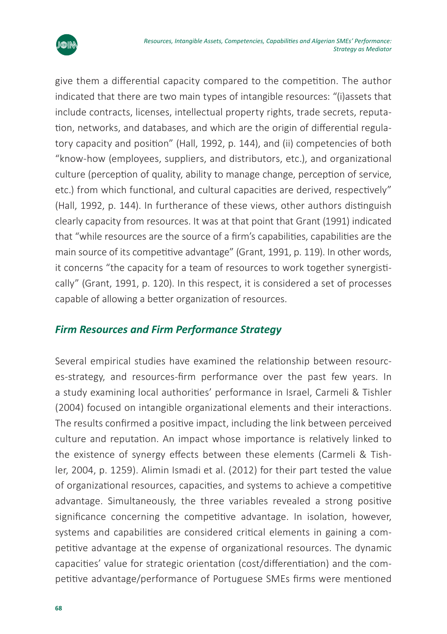

give them a differential capacity compared to the competition. The author indicated that there are two main types of intangible resources: "(i)assets that include contracts, licenses, intellectual property rights, trade secrets, reputation, networks, and databases, and which are the origin of differential regulatory capacity and position" (Hall, 1992, p. 144), and (ii) competencies of both "know-how (employees, suppliers, and distributors, etc.), and organizational culture (perception of quality, ability to manage change, perception of service, etc.) from which functional, and cultural capacities are derived, respectively" (Hall, 1992, p. 144). In furtherance of these views, other authors distinguish clearly capacity from resources. It was at that point that Grant (1991) indicated that "while resources are the source of a firm's capabilities, capabilities are the main source of its competitive advantage" (Grant, 1991, p. 119). In other words, it concerns "the capacity for a team of resources to work together synergistically" (Grant, 1991, p. 120). In this respect, it is considered a set of processes capable of allowing a better organization of resources.

### *Firm Resources and Firm Performance Strategy*

Several empirical studies have examined the relationship between resources-strategy, and resources-firm performance over the past few years. In a study examining local authorities' performance in Israel, Carmeli & Tishler (2004) focused on intangible organizational elements and their interactions. The results confirmed a positive impact, including the link between perceived culture and reputation. An impact whose importance is relatively linked to the existence of synergy effects between these elements (Carmeli & Tishler, 2004, p. 1259). Alimin Ismadi et al. (2012) for their part tested the value of organizational resources, capacities, and systems to achieve a competitive advantage. Simultaneously, the three variables revealed a strong positive significance concerning the competitive advantage. In isolation, however, systems and capabilities are considered critical elements in gaining a competitive advantage at the expense of organizational resources. The dynamic capacities' value for strategic orientation (cost/differentiation) and the competitive advantage/performance of Portuguese SMEs firms were mentioned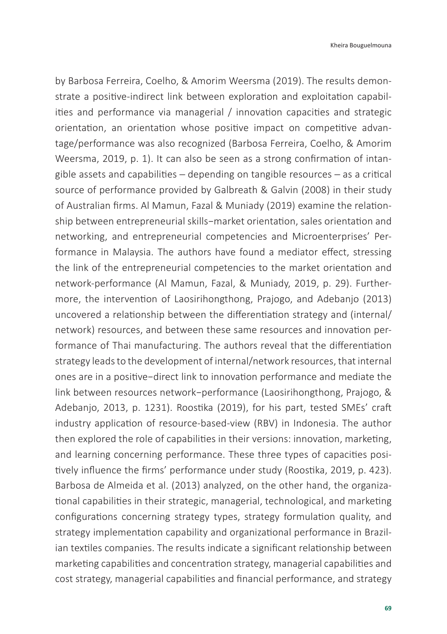by Barbosa Ferreira, Coelho, & Amorim Weersma (2019). The results demonstrate a positive-indirect link between exploration and exploitation capabilities and performance via managerial / innovation capacities and strategic orientation, an orientation whose positive impact on competitive advantage/performance was also recognized (Barbosa Ferreira, Coelho, & Amorim Weersma, 2019, p. 1). It can also be seen as a strong confirmation of intangible assets and capabilities ─ depending on tangible resources ─ as a critical source of performance provided by Galbreath & Galvin (2008) in their study of Australian firms. Al Mamun, Fazal & Muniady (2019) examine the relationship between entrepreneurial skills−market orientation, sales orientation and networking, and entrepreneurial competencies and Microenterprises' Performance in Malaysia. The authors have found a mediator effect, stressing the link of the entrepreneurial competencies to the market orientation and network-performance (Al Mamun, Fazal, & Muniady, 2019, p. 29). Furthermore, the intervention of Laosirihongthong, Prajogo, and Adebanjo (2013) uncovered a relationship between the differentiation strategy and (internal/ network) resources, and between these same resources and innovation performance of Thai manufacturing. The authors reveal that the differentiation strategy leads to the development of internal/network resources, that internal ones are in a positive−direct link to innovation performance and mediate the link between resources network−performance (Laosirihongthong, Prajogo, & Adebanjo, 2013, p. 1231). Roostika (2019), for his part, tested SMEs' craft industry application of resource-based-view (RBV) in Indonesia. The author then explored the role of capabilities in their versions: innovation, marketing, and learning concerning performance. These three types of capacities positively influence the firms' performance under study (Roostika, 2019, p. 423). Barbosa de Almeida et al. (2013) analyzed, on the other hand, the organizational capabilities in their strategic, managerial, technological, and marketing configurations concerning strategy types, strategy formulation quality, and strategy implementation capability and organizational performance in Brazilian textiles companies. The results indicate a significant relationship between marketing capabilities and concentration strategy, managerial capabilities and cost strategy, managerial capabilities and financial performance, and strategy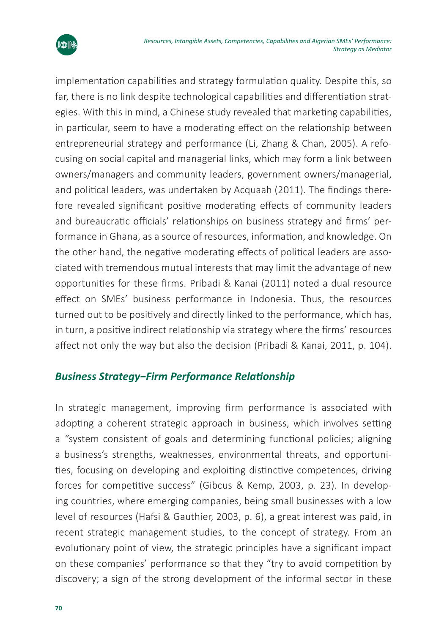

implementation capabilities and strategy formulation quality. Despite this, so far, there is no link despite technological capabilities and differentiation strategies. With this in mind, a Chinese study revealed that marketing capabilities, in particular, seem to have a moderating effect on the relationship between entrepreneurial strategy and performance (Li, Zhang & Chan, 2005). A refocusing on social capital and managerial links, which may form a link between owners/managers and community leaders, government owners/managerial, and political leaders, was undertaken by Acquaah (2011). The findings therefore revealed significant positive moderating effects of community leaders and bureaucratic officials' relationships on business strategy and firms' performance in Ghana, as a source of resources, information, and knowledge. On the other hand, the negative moderating effects of political leaders are associated with tremendous mutual interests that may limit the advantage of new opportunities for these firms. Pribadi & Kanai (2011) noted a dual resource effect on SMEs' business performance in Indonesia. Thus, the resources turned out to be positively and directly linked to the performance, which has, in turn, a positive indirect relationship via strategy where the firms' resources affect not only the way but also the decision (Pribadi & Kanai, 2011, p. 104).

### *Business Strategy−Firm Performance Relationship*

In strategic management, improving firm performance is associated with adopting a coherent strategic approach in business, which involves setting a *"*system consistent of goals and determining functional policies; aligning a business's strengths, weaknesses, environmental threats, and opportunities, focusing on developing and exploiting distinctive competences, driving forces for competitive success" (Gibcus & Kemp, 2003, p. 23). In developing countries, where emerging companies, being small businesses with a low level of resources (Hafsi & Gauthier, 2003, p. 6), a great interest was paid, in recent strategic management studies, to the concept of strategy. From an evolutionary point of view, the strategic principles have a significant impact on these companies' performance so that they "try to avoid competition by discovery; a sign of the strong development of the informal sector in these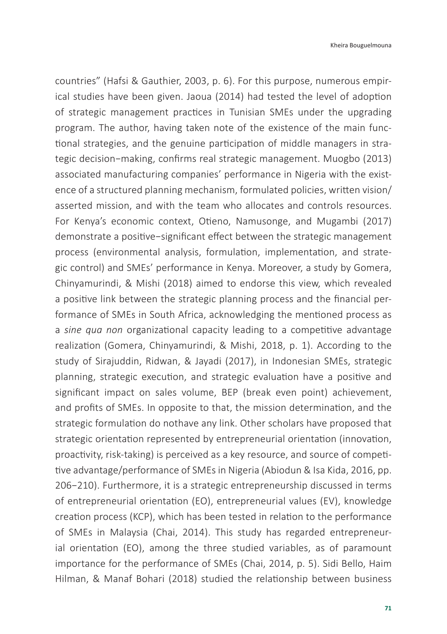countries" (Hafsi & Gauthier, 2003, p. 6). For this purpose, numerous empirical studies have been given. Jaoua (2014) had tested the level of adoption of strategic management practices in Tunisian SMEs under the upgrading program. The author, having taken note of the existence of the main functional strategies, and the genuine participation of middle managers in strategic decision−making, confirms real strategic management. Muogbo (2013) associated manufacturing companies' performance in Nigeria with the existence of a structured planning mechanism, formulated policies, written vision/ asserted mission, and with the team who allocates and controls resources. For Kenya's economic context, Otieno, Namusonge, and Mugambi (2017) demonstrate a positive−significant effect between the strategic management process (environmental analysis, formulation, implementation, and strategic control) and SMEs' performance in Kenya. Moreover, a study by Gomera, Chinyamurindi, & Mishi (2018) aimed to endorse this view, which revealed a positive link between the strategic planning process and the financial performance of SMEs in South Africa, acknowledging the mentioned process as a *sine qua non* organizational capacity leading to a competitive advantage realization (Gomera, Chinyamurindi, & Mishi, 2018, p. 1). According to the study of Sirajuddin, Ridwan, & Jayadi (2017), in Indonesian SMEs, strategic planning, strategic execution, and strategic evaluation have a positive and significant impact on sales volume, BEP (break even point) achievement, and profits of SMEs. In opposite to that, the mission determination, and the strategic formulation do nothave any link. Other scholars have proposed that strategic orientation represented by entrepreneurial orientation (innovation, proactivity, risk-taking) is perceived as a key resource, and source of competitive advantage/performance of SMEs in Nigeria (Abiodun & Isa Kida, 2016, pp. 206−210). Furthermore, it is a strategic entrepreneurship discussed in terms of entrepreneurial orientation (EO), entrepreneurial values (EV), knowledge creation process (KCP), which has been tested in relation to the performance of SMEs in Malaysia (Chai, 2014). This study has regarded entrepreneurial orientation (EO), among the three studied variables, as of paramount importance for the performance of SMEs (Chai, 2014, p. 5). Sidi Bello, Haim Hilman, & Manaf Bohari (2018) studied the relationship between business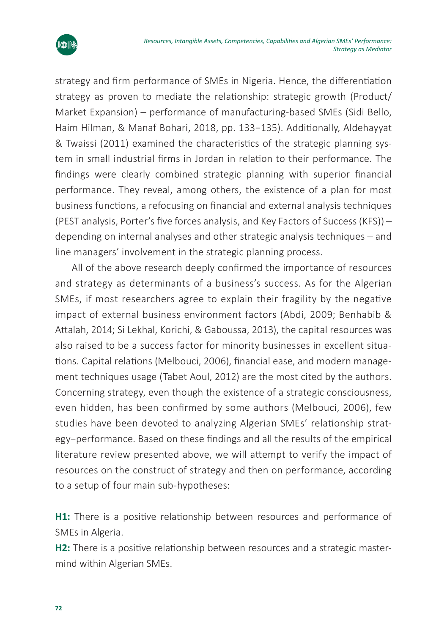

strategy and firm performance of SMEs in Nigeria. Hence, the differentiation strategy as proven to mediate the relationship: strategic growth (Product/ Market Expansion) ─ performance of manufacturing-based SMEs (Sidi Bello, Haim Hilman, & Manaf Bohari, 2018, pp. 133−135). Additionally, Aldehayyat & Twaissi (2011) examined the characteristics of the strategic planning system in small industrial firms in Jordan in relation to their performance. The findings were clearly combined strategic planning with superior financial performance. They reveal, among others, the existence of a plan for most business functions, a refocusing on financial and external analysis techniques (PEST analysis, Porter's five forces analysis, and Key Factors of Success (KFS)) ─ depending on internal analyses and other strategic analysis techniques - and line managers' involvement in the strategic planning process.

All of the above research deeply confirmed the importance of resources and strategy as determinants of a business's success. As for the Algerian SMEs, if most researchers agree to explain their fragility by the negative impact of external business environment factors (Abdi, 2009; Benhabib & Attalah, 2014; Si Lekhal, Korichi, & Gaboussa, 2013), the capital resources was also raised to be a success factor for minority businesses in excellent situations. Capital relations (Melbouci, 2006), financial ease, and modern management techniques usage (Tabet Aoul, 2012) are the most cited by the authors. Concerning strategy, even though the existence of a strategic consciousness, even hidden, has been confirmed by some authors (Melbouci, 2006), few studies have been devoted to analyzing Algerian SMEs' relationship strategy−performance. Based on these findings and all the results of the empirical literature review presented above, we will attempt to verify the impact of resources on the construct of strategy and then on performance, according to a setup of four main sub-hypotheses:

**H1:** There is a positive relationship between resources and performance of SMEs in Algeria.

**H2:** There is a positive relationship between resources and a strategic mastermind within Algerian SMEs.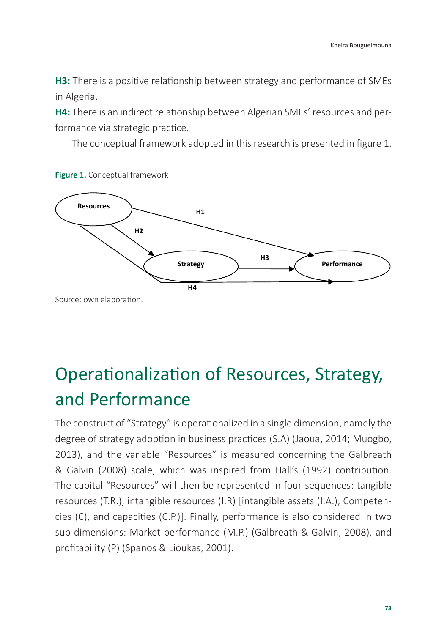H3: There is a positive relationship between strategy and performance of SMEs in Algeria.

**H4:** There is an indirect relationship between Algerian SMEs' resources and per-H4: There is an indirect relationship between Algerian SMEs' resources and per‐ formance via strategic practice. formance via strategic practice.

The conceptual framework adopted in this research is presented in figure 1. The conceptual framework adopted in this research is presented in figure 1.



**Figure 1.** Conceptual framework Figure 1. Conceptual framework

# Operationalization of Resources, Strategy, and Performance

The construct of "Strategy" is operationalized in a single dimension, namely the degree of strategy adoption in business practices (S.A) (Jaoua, 2014; Muogbo, 2013), and the variable "Resources" is measured concerning the Galbreath & Galvin (2008) scale, which was inspired from Hall's (1992) contribution. The capital "Resources" will then be represented in four sequences: tangible resources (T.R.), intangible resources (I.R) [intangible assets (I.A.), Competencies (C), and capacities (C.P.)]. Finally, performance is also considered in two sub-dimensions: Market performance (M.P.) (Galbreath & Galvin, 2008), and profitability (P) (Spanos & Lioukas, 2001).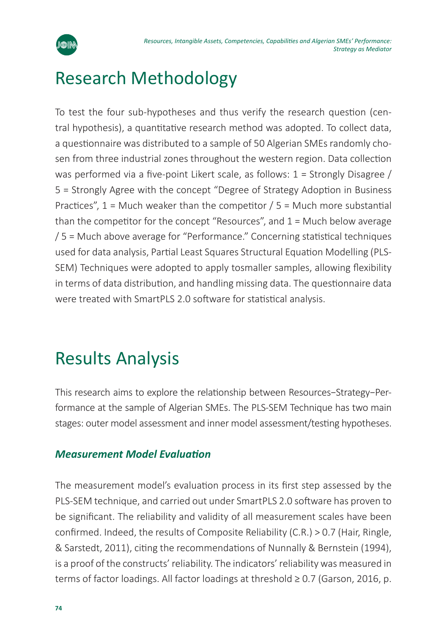

## Research Methodology

To test the four sub-hypotheses and thus verify the research question (central hypothesis), a quantitative research method was adopted. To collect data, a questionnaire was distributed to a sample of 50 Algerian SMEs randomly chosen from three industrial zones throughout the western region. Data collection was performed via a five-point Likert scale, as follows:  $1 =$  Strongly Disagree / 5 = Strongly Agree with the concept "Degree of Strategy Adoption in Business Practices",  $1 =$  Much weaker than the competitor  $/ 5 =$  Much more substantial than the competitor for the concept "Resources", and 1 = Much below average / 5 = Much above average for "Performance." Concerning statistical techniques used for data analysis, Partial Least Squares Structural Equation Modelling (PLS-SEM) Techniques were adopted to apply tosmaller samples, allowing flexibility in terms of data distribution, and handling missing data. The questionnaire data were treated with SmartPLS 2.0 software for statistical analysis.

## Results Analysis

This research aims to explore the relationship between Resources−Strategy−Performance at the sample of Algerian SMEs. The PLS-SEM Technique has two main stages: outer model assessment and inner model assessment/testing hypotheses.

### *Measurement Model Evaluation*

The measurement model's evaluation process in its first step assessed by the PLS-SEM technique, and carried out under SmartPLS 2.0 software has proven to be significant. The reliability and validity of all measurement scales have been confirmed. Indeed, the results of Composite Reliability (C.R.) > 0.7 (Hair, Ringle, & Sarstedt, 2011), citing the recommendations of Nunnally & Bernstein (1994), is a proof of the constructs' reliability. The indicators' reliability was measured in terms of factor loadings. All factor loadings at threshold ≥ 0.7 (Garson, 2016, p.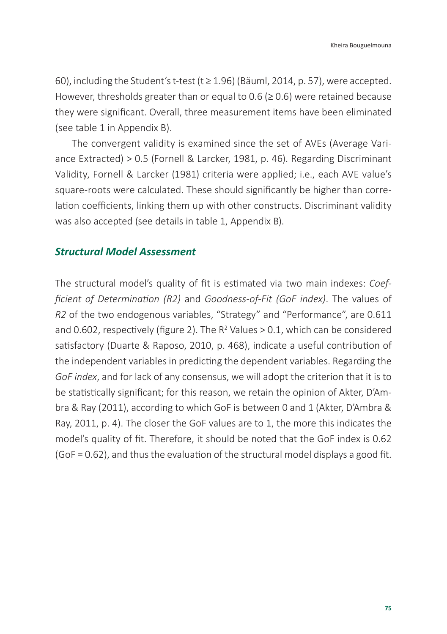60), including the Student's t-test (t  $\geq$  1.96) (Bäuml, 2014, p. 57), were accepted. However, thresholds greater than or equal to 0.6 ( $\geq$  0.6) were retained because they were significant. Overall, three measurement items have been eliminated (see table 1 in Appendix B).

The convergent validity is examined since the set of AVEs (Average Variance Extracted) > 0.5 (Fornell & Larcker, 1981, p. 46). Regarding Discriminant Validity, Fornell & Larcker (1981) criteria were applied; i.e., each AVE value's square-roots were calculated. These should significantly be higher than correlation coefficients, linking them up with other constructs. Discriminant validity was also accepted (see details in table 1, Appendix B).

#### *Structural Model Assessment*

The structural model's quality of fit is estimated via two main indexes: *Coefficient of Determination (R2)* and *Goodness-of-Fit (GoF index)*. The values of *R2* of the two endogenous variables, "Strategy" and "Performance", are 0.611 and 0.602, respectively (figure 2). The  $R^2$  Values > 0.1, which can be considered satisfactory (Duarte & Raposo, 2010, p. 468), indicate a useful contribution of the independent variables in predicting the dependent variables. Regarding the *GoF index*, and for lack of any consensus, we will adopt the criterion that it is to be statistically significant; for this reason, we retain the opinion of Akter, D'Ambra & Ray (2011), according to which GoF is between 0 and 1 (Akter, D'Ambra & Ray, 2011, p. 4). The closer the GoF values are to 1, the more this indicates the model's quality of fit. Therefore, it should be noted that the GoF index is 0.62 (GoF = 0.62), and thus the evaluation of the structural model displays a good fit.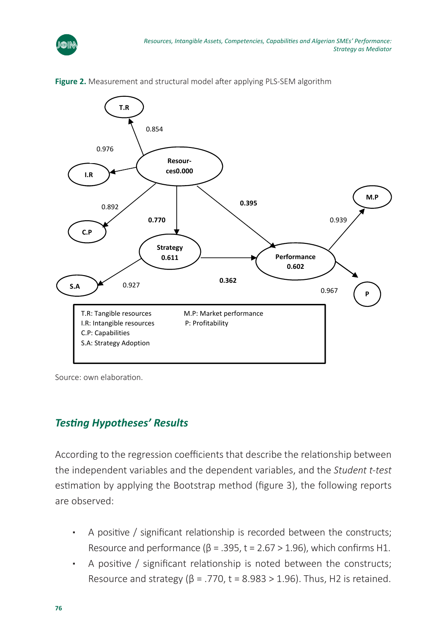



**Figure 2.** Measurement and structural model after applying PLS-SEM algorithm

Source: own elaboration.

### *Testing Hypotheses' Results* and the dependent variables and the dependent variables, and the student variables

According to the regression coefficients that describe the relationship between the independent variables and the dependent variables, and the *Student t-test* estimation by applying the Bootstrap method (figure 3), the following reports are observed: eraing to the regression coemetents that acsembe the relationship between the constructs;  $\mathcal{L}$ 

- A positive / significant relationship is recorded between the constructs; Resource and performance ( $\beta$  = .395, t = 2.67 > 1.96), which confirms H1. 12
- A positive / significant relationship is noted between the constructs; Resource and strategy ( $\beta$  = .770, t = 8.983 > 1.96). Thus, H2 is retained.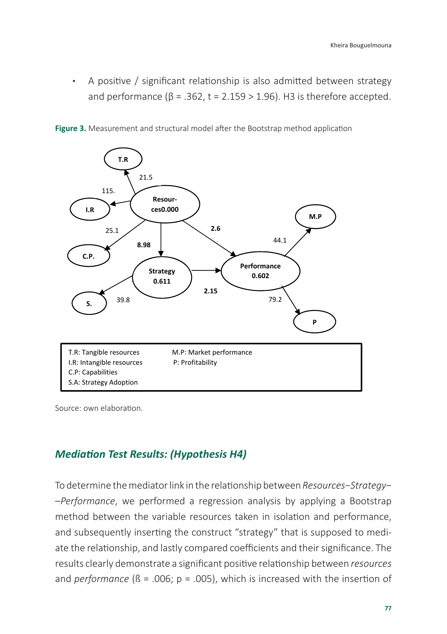**A** positive / significant relationship is also admitted between strategy and performance ( $\beta$  = .362, t = 2.159 > 1.96). H3 is therefore accepted.  $m = 2.5$  is the  $2.5$  therefore accepted. H3 is the  $2.5$ 

**Figure 3.** Measurement and structural model after the Bootstrap method application Figure 3. Measurement and structural model after the Bootstrap method application



Source: own elaboration. Source: own elaboration.

### *Mediation Test Results: (Hypothesis H4)*

To determine the mediator link in the relationship between *Resources*−*Strategy*− between the variable resources taken in isolation and performance, and subse‐ erformance, we performed a regression analysis by applying a Bootstrap (strategy) method between the variable resources taken in isolation and performance, and subsequently inserting the construct "strategy" that is supposed to mediate the relationship, and lastly compared coefficients and their significance. The results clearly demonstrate a significant positive relationship between *resources* and *performance* ( $\beta$  = .006;  $p$  = .005), which is increased with the insertion of  $\epsilon$ ipormunce, we performed a regression analysis by applying a bootstra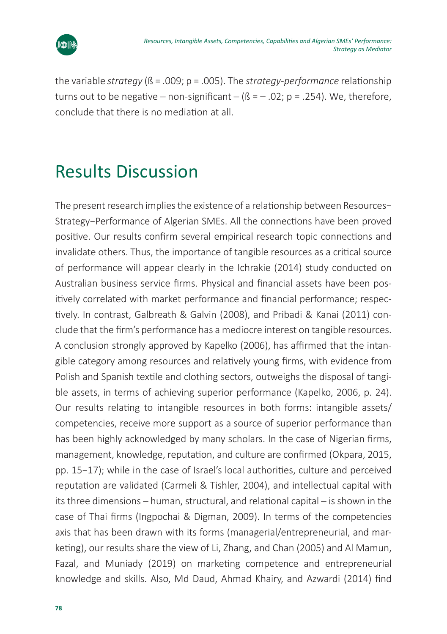

the variable *strategy* (ß = .009; p = .005). The *strategy*-*performance* relationship turns out to be negative  $-$  non-significant  $-$  ( $\beta$  =  $-$  .02; p = .254). We, therefore, conclude that there is no mediation at all.

## Results Discussion

The present research implies the existence of a relationship between Resources− Strategy−Performance of Algerian SMEs. All the connections have been proved positive. Our results confirm several empirical research topic connections and invalidate others. Thus, the importance of tangible resources as a critical source of performance will appear clearly in the Ichrakie (2014) study conducted on Australian business service firms. Physical and financial assets have been positively correlated with market performance and financial performance; respectively. In contrast, Galbreath & Galvin (2008), and Pribadi & Kanai (2011) conclude that the firm's performance has a mediocre interest on tangible resources. A conclusion strongly approved by Kapelko (2006), has affirmed that the intangible category among resources and relatively young firms, with evidence from Polish and Spanish textile and clothing sectors, outweighs the disposal of tangible assets, in terms of achieving superior performance (Kapelko, 2006, p. 24). Our results relating to intangible resources in both forms: intangible assets/ competencies, receive more support as a source of superior performance than has been highly acknowledged by many scholars. In the case of Nigerian firms, management, knowledge, reputation, and culture are confirmed (Okpara, 2015, pp. 15−17); while in the case of Israel's local authorities, culture and perceived reputation are validated (Carmeli & Tishler, 2004), and intellectual capital with its three dimensions – human, structural, and relational capital – is shown in the case of Thai firms (Ingpochai & Digman, 2009). In terms of the competencies axis that has been drawn with its forms (managerial/entrepreneurial, and marketing), our results share the view of Li, Zhang, and Chan (2005) and Al Mamun, Fazal, and Muniady (2019) on marketing competence and entrepreneurial knowledge and skills. Also, Md Daud, Ahmad Khairy, and Azwardi (2014) find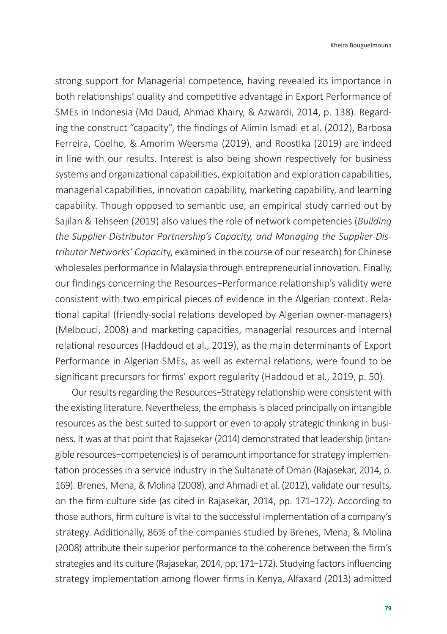strong support for Managerial competence, having revealed its importance in both relationships' quality and competitive advantage in Export Performance of SMEs in Indonesia (Md Daud, Ahmad Khairy, & Azwardi, 2014, p. 138). Regarding the construct "capacity", the findings of Alimin Ismadi et al. (2012), Barbosa Ferreira, Coelho, & Amorim Weersma (2019), and Roostika (2019) are indeed in line with our results. Interest is also being shown respectively for business systems and organizational capabilities, exploitation and exploration capabilities, managerial capabilities, innovation capability, marketing capability, and learning capability. Though opposed to semantic use, an empirical study carried out by Sajilan & Tehseen (2019) also values the role of network competencies (*Building the Supplier-Distributor Partnership's Capacity, and Managing the Supplier-Distributor Networks' Capacit*y, examined in the course of our research) for Chinese wholesales performance in Malaysia through entrepreneurial innovation. Finally, our findings concerning the Resources−Performance relationship's validity were consistent with two empirical pieces of evidence in the Algerian context. Relational capital (friendly-social relations developed by Algerian owner-managers) (Melbouci, 2008) and marketing capacities, managerial resources and internal relational resources (Haddoud et al., 2019), as the main determinants of Export Performance in Algerian SMEs, as well as external relations, were found to be significant precursors for firms' export regularity (Haddoud et al., 2019, p. 50).

Our results regarding the Resources−Strategy relationship were consistent with the existing literature. Nevertheless, the emphasis is placed principally on intangible resources as the best suited to support or even to apply strategic thinking in business. It was at that point that Rajasekar (2014) demonstrated that leadership (intangible resources−competencies) is of paramount importance for strategy implementation processes in a service industry in the Sultanate of Oman (Rajasekar, 2014, p. 169). Brenes, Mena, & Molina (2008), and Ahmadi et al. (2012), validate our results, on the firm culture side (as cited in Rajasekar, 2014, pp. 171−172). According to those authors, firm culture is vital to the successful implementation of a company's strategy. Additionally, 86% of the companies studied by Brenes, Mena, & Molina (2008) attribute their superior performance to the coherence between the firm's strategies and its culture (Rajasekar, 2014, pp. 171−172). Studying factors influencing strategy implementation among flower firms in Kenya, Alfaxard (2013) admitted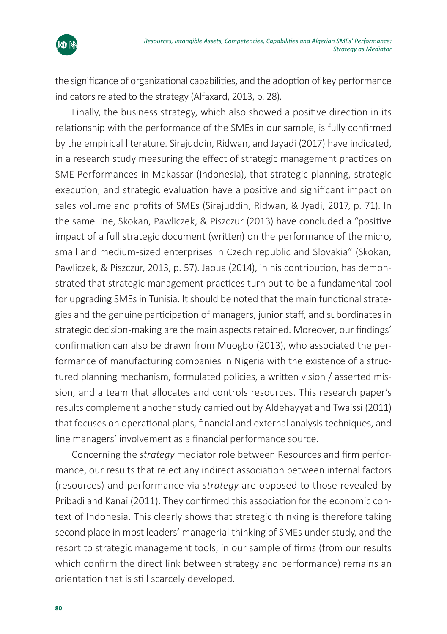

the significance of organizational capabilities, and the adoption of key performance indicators related to the strategy (Alfaxard, 2013, p. 28).

Finally, the business strategy, which also showed a positive direction in its relationship with the performance of the SMEs in our sample, is fully confirmed by the empirical literature. Sirajuddin, Ridwan, and Jayadi (2017) have indicated, in a research study measuring the effect of strategic management practices on SME Performances in Makassar (Indonesia), that strategic planning, strategic execution, and strategic evaluation have a positive and significant impact on sales volume and profits of SMEs (Sirajuddin, Ridwan, & Jyadi, 2017, p. 71). In the same line, Skokan, Pawliczek, & Piszczur (2013) have concluded a "positive impact of a full strategic document (written) on the performance of the micro, small and medium-sized enterprises in Czech republic and Slovakia" (Skokan*,*  Pawliczek, & Piszczur, 2013, p. 57). Jaoua (2014), in his contribution, has demonstrated that strategic management practices turn out to be a fundamental tool for upgrading SMEs in Tunisia. It should be noted that the main functional strategies and the genuine participation of managers, junior staff, and subordinates in strategic decision-making are the main aspects retained. Moreover, our findings' confirmation can also be drawn from Muogbo (2013), who associated the performance of manufacturing companies in Nigeria with the existence of a structured planning mechanism, formulated policies, a written vision / asserted mission, and a team that allocates and controls resources. This research paper's results complement another study carried out by Aldehayyat and Twaissi (2011) that focuses on operational plans, financial and external analysis techniques, and line managers' involvement as a financial performance source.

Concerning the *strategy* mediator role between Resources and firm performance, our results that reject any indirect association between internal factors (resources) and performance via *strategy* are opposed to those revealed by Pribadi and Kanai (2011). They confirmed this association for the economic context of Indonesia. This clearly shows that strategic thinking is therefore taking second place in most leaders' managerial thinking of SMEs under study, and the resort to strategic management tools, in our sample of firms (from our results which confirm the direct link between strategy and performance) remains an orientation that is still scarcely developed.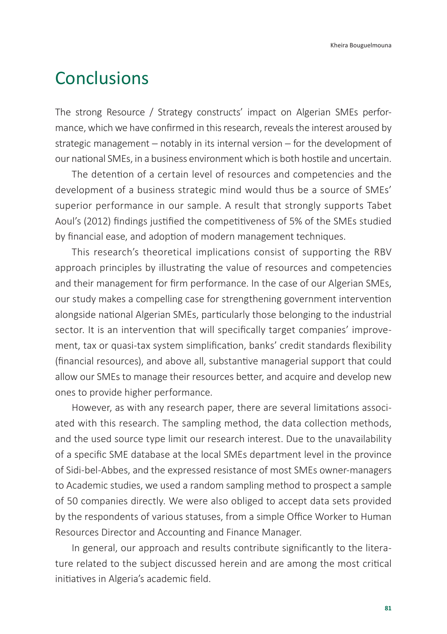### Conclusions

The strong Resource / Strategy constructs' impact on Algerian SMEs performance, which we have confirmed in this research, reveals the interest aroused by strategic management – notably in its internal version – for the development of our national SMEs, in a business environment which is both hostile and uncertain.

The detention of a certain level of resources and competencies and the development of a business strategic mind would thus be a source of SMEs' superior performance in our sample. A result that strongly supports Tabet Aoul's (2012) findings justified the competitiveness of 5% of the SMEs studied by financial ease, and adoption of modern management techniques.

This research's theoretical implications consist of supporting the RBV approach principles by illustrating the value of resources and competencies and their management for firm performance. In the case of our Algerian SMEs, our study makes a compelling case for strengthening government intervention alongside national Algerian SMEs, particularly those belonging to the industrial sector. It is an intervention that will specifically target companies' improvement, tax or quasi-tax system simplification, banks' credit standards flexibility (financial resources), and above all, substantive managerial support that could allow our SMEs to manage their resources better, and acquire and develop new ones to provide higher performance.

However, as with any research paper, there are several limitations associated with this research. The sampling method, the data collection methods, and the used source type limit our research interest. Due to the unavailability of a specific SME database at the local SMEs department level in the province of Sidi-bel-Abbes, and the expressed resistance of most SMEs owner-managers to Academic studies, we used a random sampling method to prospect a sample of 50 companies directly. We were also obliged to accept data sets provided by the respondents of various statuses, from a simple Office Worker to Human Resources Director and Accounting and Finance Manager.

In general, our approach and results contribute significantly to the literature related to the subject discussed herein and are among the most critical initiatives in Algeria's academic field.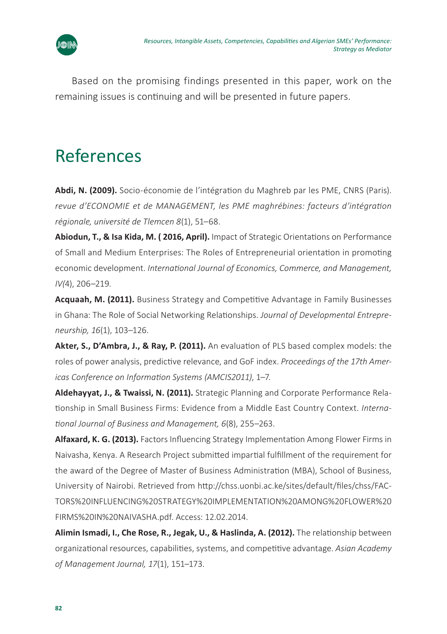

Based on the promising findings presented in this paper, work on the remaining issues is continuing and will be presented in future papers.

## References

**Abdi, N. (2009).** Socio-économie de l'intégration du Maghreb par les PME, CNRS (Paris). *revue d'ECONOMIE et de MANAGEMENT, les PME maghrébines: facteurs d'intégration régionale, université de Tlemcen 8*(1), 51–68.

**Abiodun, T., & Isa Kida, M. ( 2016, April).** Impact of Strategic Orientations on Performance of Small and Medium Enterprises: The Roles of Entrepreneurial orientation in promoting economic development. *International Journal of Economics, Commerce, and Management, IV(*4), 206–219.

**Acquaah, M. (2011).** Business Strategy and Competitive Advantage in Family Businesses in Ghana: The Role of Social Networking Relationships. *Journal of Developmental Entrepreneurship, 16*(1), 103–126.

**Akter, S., D'Ambra, J., & Ray, P. (2011).** An evaluation of PLS based complex models: the roles of power analysis, predictive relevance, and GoF index. *Proceedings of the 17th Americas Conference on Information Systems (AMCIS2011)*, 1–7.

**Aldehayyat, J., & Twaissi, N. (2011).** Strategic Planning and Corporate Performance Relationship in Small Business Firms: Evidence from a Middle East Country Context. *International Journal of Business and Management, 6*(8), 255–263.

**Alfaxard, K. G. (2013).** Factors Influencing Strategy Implementation Among Flower Firms in Naivasha, Kenya. A Research Project submitted impartial fulfillment of the requirement for the award of the Degree of Master of Business Administration (MBA), School of Business, University of Nairobi. Retrieved from [http://chss.uonbi.ac.ke/sites/default/files/chss/FAC-](http://chss.uonbi.ac.ke/sites/default/files/chss/FACTORS%20INFLUENCING%20STRATEGY%20IMPLEMENTATION%20AMONG%20FLOWER%20FIRMS%20IN%20NAIVASHA.pdf)[TORS%20INFLUENCING%20STRATEGY%20IMPLEMENTATION%20AMONG%20FLOWER%20](http://chss.uonbi.ac.ke/sites/default/files/chss/FACTORS%20INFLUENCING%20STRATEGY%20IMPLEMENTATION%20AMONG%20FLOWER%20FIRMS%20IN%20NAIVASHA.pdf) [FIRMS%20IN%20NAIVASHA.pdf](http://chss.uonbi.ac.ke/sites/default/files/chss/FACTORS%20INFLUENCING%20STRATEGY%20IMPLEMENTATION%20AMONG%20FLOWER%20FIRMS%20IN%20NAIVASHA.pdf). Access: 12.02.2014.

**Alimin Ismadi, I., Che Rose, R., Jegak, U., & Haslinda, A. (2012).** The relationship between organizational resources, capabilities, systems, and competitive advantage. *Asian Academy of Management Journal, 17*(1), 151–173.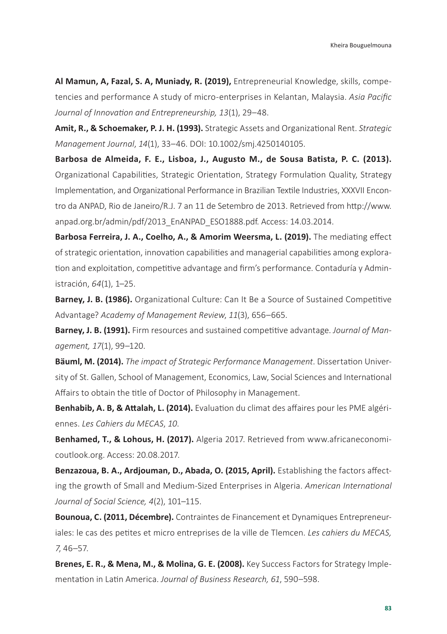**Al Mamun, A, Fazal, S. A, Muniady, R. (2019),** Entrepreneurial Knowledge, skills, competencies and performance A study of micro-enterprises in Kelantan, Malaysia. *Asia Pacific Journal of Innovation and Entrepreneurship, 13*(1), 29–48.

**Amit, R., & Schoemaker, P. J. H. (1993).** Strategic Assets and Organizational Rent. *Strategic Management Journal*, *14*(1), 33–46. DOI: 10.1002/smj.4250140105.

**Barbosa de Almeida, F. E., Lisboa, J., Augusto M., de Sousa Batista, P. C. (2013).** Organizational Capabilities, Strategic Orientation, Strategy Formulation Quality, Strategy Implementation, and Organizational Performance in Brazilian Textile Industries, XXXVII Encontro da ANPAD, Rio de Janeiro/R.J. 7 an 11 de Setembro de 2013. Retrieved from [http://www.](http://www.anpad.org.br/admin/pdf/2013_EnANPAD_ESO1888.pdf) [anpad.org.br/admin/pdf/2013\\_EnANPAD\\_ESO1888.pdf](http://www.anpad.org.br/admin/pdf/2013_EnANPAD_ESO1888.pdf). Access: 14.03.2014.

**Barbosa Ferreira, J. A., Coelho, A., & Amorim Weersma, L. (2019).** The mediating effect of strategic orientation, innovation capabilities and managerial capabilities among exploration and exploitation, competitive advantage and firm's performance. Contaduría y Administración, *64*(1), 1–25.

**Barney, J. B. (1986).** Organizational Culture: Can It Be a Source of Sustained Competitive Advantage? *Academy of Management Review*, *11*(3), 656–665.

**Barney, J. B. (1991).** Firm resources and sustained competitive advantage. *Journal of Management, 17*(1), 99–120.

**Bäuml, M. (2014).** *The impact of Strategic Performance Management*. Dissertation University of St. Gallen, School of Management, Economics, Law, Social Sciences and International Affairs to obtain the title of Doctor of Philosophy in Management.

**Benhabib, A. B, & Attalah, L. (2014).** Evaluation du climat des affaires pour les PME algériennes. *Les Cahiers du MECAS*, *10*.

**Benhamed, T., & Lohous, H. (2017).** Algeria 2017. Retrieved from [www.africaneconomi](http://www.africaneconomicoutlook.org)[coutlook.org.](http://www.africaneconomicoutlook.org) Access: 20.08.2017.

**Benzazoua, B. A., Ardjouman, D., Abada, O. (2015, April).** Establishing the factors affecting the growth of Small and Medium-Sized Enterprises in Algeria. *American International Journal of Social Science, 4*(2), 101–115.

**Bounoua, C. (2011, Décembre).** Contraintes de Financement et Dynamiques Entrepreneuriales: le cas des petites et micro entreprises de la ville de Tlemcen. *Les cahiers du MECAS, 7*, 46–57.

**Brenes, E. R., & Mena, M., & Molina, G. E. (2008).** Key Success Factors for Strategy Implementation in Latin America. *Journal of Business Research, 61*, 590–598.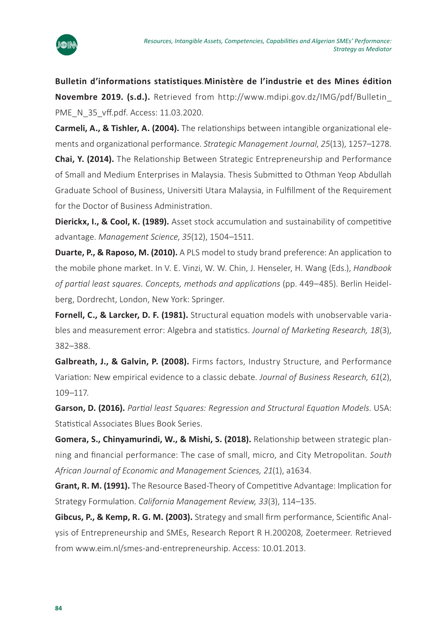

**Bulletin d'informations statistiques***.***Ministère de l'industrie et des Mines édition Novembre 2019. (s.d.).** Retrieved from http://www.mdipi.gov.dz/IMG/pdf/Bulletin\_ PME\_N\_35\_vff.pdf. Access: 11.03.2020.

**Carmeli, A., & Tishler, A. (2004).** The relationships between intangible organizational elements and organizational performance. *Strategic Management Journal*, *25*(13), 1257–1278.

**Chai, Y. (2014).** The Relationship Between Strategic Entrepreneurship and Performance of Small and Medium Enterprises in Malaysia*.* Thesis Submitted to Othman Yeop Abdullah Graduate School of Business, Universiti Utara Malaysia, in Fulfillment of the Requirement for the Doctor of Business Administration.

**Dierickx, I., & Cool, K. (1989).** Asset stock accumulation and sustainability of competitive advantage. *Management Science*, *35*(12), 1504–1511.

**Duarte, P., & Raposo, M. (2010).** A PLS model to study brand preference: An application to the mobile phone market. In V. E. Vinzi, W. W. Chin, J. Henseler, H. Wang (Eds.), *Handbook of partial least squares. Concepts, methods and applications* (pp. 449–485). Berlin Heidelberg, Dordrecht, London, New York: Springer.

Fornell, C., & Larcker, D. F. (1981). Structural equation models with unobservable variables and measurement error: Algebra and statistics. *Journal of Marketing Research, 18*(3), 382–388.

**Galbreath, J., & Galvin, P. (2008).** Firms factors, Industry Structure, and Performance Variation: New empirical evidence to a classic debate. *Journal of Business Research, 61*(2), 109–117.

**Garson, D. (2016).** *Partial least Squares: Regression and Structural Equation Models*. USA: Statistical Associates Blues Book Series.

**Gomera, S., Chinyamurindi, W., & Mishi, S. (2018).** Relationship between strategic planning and financial performance: The case of small, micro, and City Metropolitan. *South African Journal of Economic and Management Sciences, 21*(1), a1634.

**Grant, R. M. (1991).** The Resource Based-Theory of Competitive Advantage: Implication for Strategy Formulation. *California Management Review, 33*(3), 114–135.

**Gibcus, P., & Kemp, R. G. M. (2003).** Strategy and small firm performance, Scientific Analysis of Entrepreneurship and SMEs, Research Report R H.200208*,* Zoetermeer*.* Retrieved from [www.eim.nl/smes-and-entrepreneurship.](http://www.eim.nl/smes-and-entrepreneurship) Access: 10.01.2013.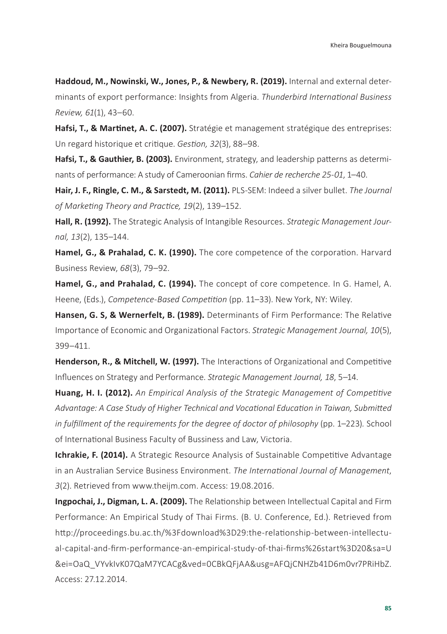**Haddoud, M., Nowinski, W., Jones, P., & Newbery, R. (2019).** Internal and external determinants of export performance: Insights from Algeria. *Thunderbird International Business Review, 61*(1), 43–60.

**Hafsi, T., & Martinet, A. C. (2007).** Stratégie et management stratégique des entreprises: Un regard historique et critique. *Gestion, 32*(3), 88–98.

Hafsi, T., & Gauthier, B. (2003). Environment, strategy, and leadership patterns as determinants of performance: A study of Cameroonian firms. *Cahier de recherche 25-01*, 1–40.

**Hair, J. F., Ringle, C. M., & Sarstedt, M. (2011).** PLS-SEM: Indeed a silver bullet. *The Journal of Marketing Theory and Practice, 19*(2), 139–152.

**Hall, R. (1992).** The Strategic Analysis of Intangible Resources. *Strategic Management Journal, 13*(2), 135–144.

**Hamel, G., & Prahalad, C. K. (1990).** The core competence of the corporation. Harvard Business Review, *68*(3), 79–92.

**Hamel, G., and Prahalad, C. (1994).** The concept of core competence. In G. Hamel, A. Heene, (Eds.), *Competence-Based Competition* (pp. 11–33). New York, NY: Wiley.

**Hansen, G. S, & Wernerfelt, B. (1989).** Determinants of Firm Performance: The Relative Importance of Economic and Organizational Factors. *Strategic Management Journal, 10*(5), 399–411.

**Henderson, R., & Mitchell, W. (1997).** The Interactions of Organizational and Competitive Influences on Strategy and Performance. *Strategic Management Journal, 18*, 5–14.

**Huang, H. I. (2012).** *An Empirical Analysis of the Strategic Management of Competitive Advantage: A Case Study of Higher Technical and Vocational Education in Taiwan, Submitted in fulfillment of the requirements for the degree of doctor of philosophy (pp. 1–223). School* of International Business Faculty of Bussiness and Law, Victoria.

**Ichrakie, F. (2014).** A Strategic Resource Analysis of Sustainable Competitive Advantage in an Australian Service Business Environment. *The International Journal of Management*, *3*(2). Retrieved from [www.theijm.com.](http://www.theijm.com) Access: 19.08.2016.

**Ingpochai, J., Digman, L. A. (2009).** The Relationship between Intellectual Capital and Firm Performance: An Empirical Study of Thai Firms. (B. U. Conference, Ed.). Retrieved from [http://proceedings.bu.ac.th/%3Fdownload%3D29:the-relationship-between-intellectu](http://proceedings.bu.ac.th/%3Fdownload%3D29:the-relationship-between-intellectual-capital-and-firm-performance-an-empirical-study-of-thai-firms%26start%3D20&sa=U&ei=OaQ_VYvkIvK07QaM7YCACg&ved=0CBkQFjAA&usg=AFQjCNHZb41D6m0vr7PRiHbZ)[al-capital-and-firm-performance-an-empirical-study-of-thai-firms%26start%3D20&sa=U](http://proceedings.bu.ac.th/%3Fdownload%3D29:the-relationship-between-intellectual-capital-and-firm-performance-an-empirical-study-of-thai-firms%26start%3D20&sa=U&ei=OaQ_VYvkIvK07QaM7YCACg&ved=0CBkQFjAA&usg=AFQjCNHZb41D6m0vr7PRiHbZ) [&ei=OaQ\\_VYvkIvK07QaM7YCACg&ved=0CBkQFjAA&usg=AFQjCNHZb41D6m0vr7PRiHbZ](http://proceedings.bu.ac.th/%3Fdownload%3D29:the-relationship-between-intellectual-capital-and-firm-performance-an-empirical-study-of-thai-firms%26start%3D20&sa=U&ei=OaQ_VYvkIvK07QaM7YCACg&ved=0CBkQFjAA&usg=AFQjCNHZb41D6m0vr7PRiHbZ). Access: 27.12.2014.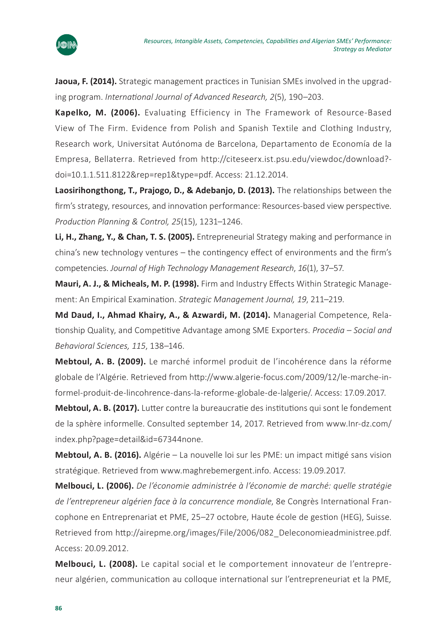

**Jaoua, F. (2014).** Strategic management practices in Tunisian SMEs involved in the upgrading program. *International Journal of Advanced Research, 2*(5), 190–203.

**Kapelko, M. (2006).** Evaluating Efficiency in The Framework of Resource-Based View of The Firm. Evidence from Polish and Spanish Textile and Clothing Industry, Research work, Universitat Autónoma de Barcelona, Departamento de Economía de la Empresa, Bellaterra. Retrieved from http://citeseerx.ist.psu.edu/viewdoc/download? doi=10.1.1.511.8122&rep=rep1&type=pdf. Access: 21.12.2014.

**Laosirihongthong, T., Prajogo, D., & Adebanjo, D. (2013).** The relationships between the firm's strategy, resources, and innovation performance: Resources-based view perspective. *Production Planning & Control, 25*(15), 1231–1246.

**Li, H., Zhang, Y., & Chan, T. S. (2005).** Entrepreneurial Strategy making and performance in china's new technology ventures – the contingency effect of environments and the firm's competencies. *Journal of High Technology Management Research*, *16*(1), 37–57.

**Mauri, A. J., & Micheals, M. P. (1998).** Firm and Industry Effects Within Strategic Management: An Empirical Examination. *Strategic Management Journal, 19*, 211–219.

**Md Daud, I., Ahmad Khairy, A., & Azwardi, M. (2014).** Managerial Competence, Relationship Quality, and Competitive Advantage among SME Exporters. *Procedia – Social and Behavioral Sciences, 115*, 138–146.

**Mebtoul, A. B. (2009).** Le marché informel produit de l'incohérence dans la réforme globale de l'Algérie. Retrieved from http://www.algerie-focus.com/2009/12/le-marche-informel-produit-de-lincohrence-dans-la-reforme-globale-de-lalgerie/. Access: 17.09.2017.

**Mebtoul, A. B. (2017).** Lutter contre la bureaucratie des institutions qui sont le fondement de la sphère informelle. Consulted september 14, 2017. Retrieved from www.Inr-dz.com/ index.php?page=detail&id=67344none.

**Mebtoul, A. B. (2016).** Algérie – La nouvelle loi sur les PME: un impact mitigé sans vision stratégique. Retrieved from [www.maghrebemergent.info](http://www.maghrebemergent.info). Access: 19.09.2017.

**Melbouci, L. (2006).** *De l'économie administrée à l'économie de marché: quelle stratégie de l'entrepreneur algérien face à la concurrence mondiale*, 8e Congrès International Francophone en Entreprenariat et PME, 25–27 octobre, Haute école de gestion (HEG), Suisse. Retrieved from http://airepme.org/images/File/2006/082\_Deleconomieadministree.pdf. Access: 20.09.2012.

**Melbouci, L. (2008).** Le capital social et le comportement innovateur de l'entrepreneur algérien, communication au colloque international sur l'entrepreneuriat et la PME*,*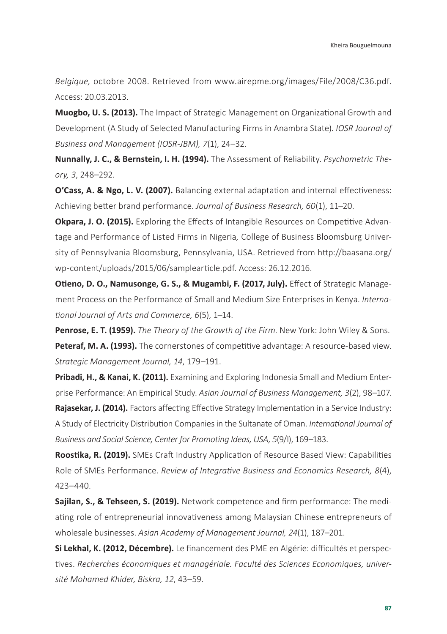*Belgique,* octobre 2008. Retrieved from [www.airepme.org/images/File/2008/C36.pdf](http://www.airepme.org/images/File/2008/C36.pdf). Access: 20.03.2013.

**Muogbo, U. S. (2013).** The Impact of Strategic Management on Organizational Growth and Development (A Study of Selected Manufacturing Firms in Anambra State). *IOSR Journal of Business and Management (IOSR-JBM), 7*(1), 24–32.

**Nunnally, J. C., & Bernstein, I. H. (1994).** The Assessment of Reliability. *Psychometric Theory, 3*, 248–292.

**O'Cass, A. & Ngo, L. V. (2007).** Balancing external adaptation and internal effectiveness: Achieving better brand performance. *Journal of Business Research, 60*(1), 11–20.

**Okpara, J. O. (2015).** Exploring the Effects of Intangible Resources on Competitive Advantage and Performance of Listed Firms in Nigeria*,* College of Business Bloomsburg University of Pennsylvania Bloomsburg, Pennsylvania, USA. Retrieved from [http://baasana.org/](http://baasana.org/wp-content/uploads/2015/06/samplearticle.pdf) [wp-content/uploads/2015/06/samplearticle.pdf](http://baasana.org/wp-content/uploads/2015/06/samplearticle.pdf). Access: 26.12.2016.

**Otieno, D. O., Namusonge, G. S., & Mugambi, F. (2017, July).** Effect of Strategic Management Process on the Performance of Small and Medium Size Enterprises in Kenya. *International Journal of Arts and Commerce, 6*(5), 1–14.

**Penrose, E. T. (1959).** *The Theory of the Growth of the Firm*. New York: John Wiley & Sons. Peteraf, M. A. (1993). The cornerstones of competitive advantage: A resource-based view. *Strategic Management Journal, 14*, 179–191.

**Pribadi, H., & Kanai, K. (2011).** Examining and Exploring Indonesia Small and Medium Enterprise Performance: An Empirical Study. *Asian Journal of Business Management, 3*(2), 98–107.

Rajasekar, J. (2014). Factors affecting Effective Strategy Implementation in a Service Industry: A Study of Electricity Distribution Companies in the Sultanate of Oman. *International Journal of Business and Social Science, Center for Promoting Ideas, USA, 5*(9/I), 169–183.

**Roostika, R. (2019).** SMEs Craft Industry Application of Resource Based View: Capabilities Role of SMEs Performance. *Review of Integrative Business and Economics Research, 8*(4), 423–440.

**Sajilan, S., & Tehseen, S. (2019).** Network competence and firm performance: The mediating role of entrepreneurial innovativeness among Malaysian Chinese entrepreneurs of wholesale businesses. *Asian Academy of Management Journal, 24*(1), 187–201.

**Si Lekhal, K. (2012, Décembre).** Le financement des PME en Algérie: difficultés et perspectives. *Recherches économiques et managériale. Faculté des Sciences Economiques, université Mohamed Khider, Biskra, 12*, 43–59.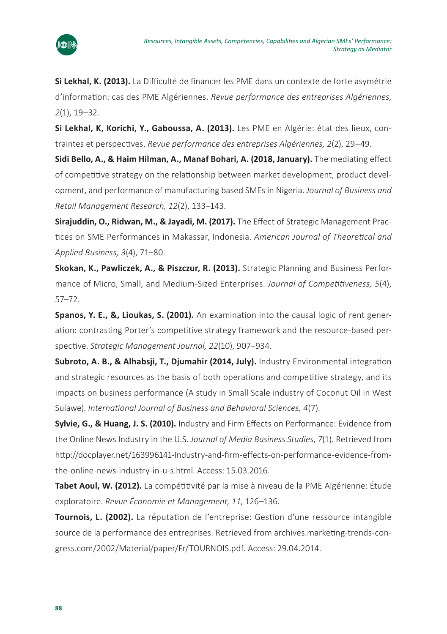

**Si Lekhal, K. (2013).** La Difficulté de financer les PME dans un contexte de forte asymétrie d'information: cas des PME Algériennes. *Revue performance des entreprises Algériennes, 2*(1), 19–32.

**Si Lekhal, K, Korichi, Y., Gaboussa, A. (2013).** Les PME en Algérie: état des lieux, contraintes et perspectives. *Revue performance des entreprises Algériennes, 2*(2), 29–49.

**Sidi Bello, A., & Haim Hilman, A., Manaf Bohari, A. (2018, January).** The mediating effect of competitive strategy on the relationship between market development, product development, and performance of manufacturing based SMEs in Nigeria. *Journal of Business and Retail Management Research, 12*(2), 133–143.

**Sirajuddin, O., Ridwan, M., & Jayadi, M. (2017).** The Effect of Strategic Management Practices on SME Performances in Makassar, Indonesia. *American Journal of Theoretical and Applied Business, 3*(4), 71–80.

**Skokan, K., Pawliczek, A., & Piszczur, R. (2013).** Strategic Planning and Business Performance of Micro, Small, and Medium-Sized Enterprises. *Journal of Competitiveness, 5*(4), 57–72.

**Spanos, Y. E., &, Lioukas, S. (2001).** An examination into the causal logic of rent generation: contrasting Porter's competitive strategy framework and the resource-based perspective. *Strategic Management Journal, 22*(10), 907–934.

**Subroto, A. B., & Alhabsji, T., Djumahir (2014, July).** Industry Environmental integration and strategic resources as the basis of both operations and competitive strategy, and its impacts on business performance (A study in Small Scale industry of Coconut Oil in West Sulawe). *International Journal of Business and Behavioral Sciences, 4*(7).

**Sylvie, G., & Huang, J. S. (2010).** Industry and Firm Effects on Performance: Evidence from the Online News Industry in the U.S. *Journal of Media Business Studies*, *7*(1). Retrieved from [http://docplayer.net/163996141-Industry-and-firm-effects-on-performance-evidence-from](http://docplayer.net/163996141-Industry-and-firm-effects-on-performance-evidence-from-the-online-news-industry-in-u-s.html)[the-online-news-industry-in-u-s.html](http://docplayer.net/163996141-Industry-and-firm-effects-on-performance-evidence-from-the-online-news-industry-in-u-s.html). Access: 15.03.2016.

**Tabet Aoul, W. (2012).** La compétitivité par la mise à niveau de la PME Algérienne: Étude exploratoire. *Revue Économie et Management, 11*, 126–136.

**Tournois, L. (2002).** La réputation de l'entreprise: Gestion d'une ressource intangible source de la performance des entreprises. Retrieved from archives.marketing-trends-congress.com/2002/Material/paper/Fr/TOURNOIS.pdf. Access: 29.04.2014.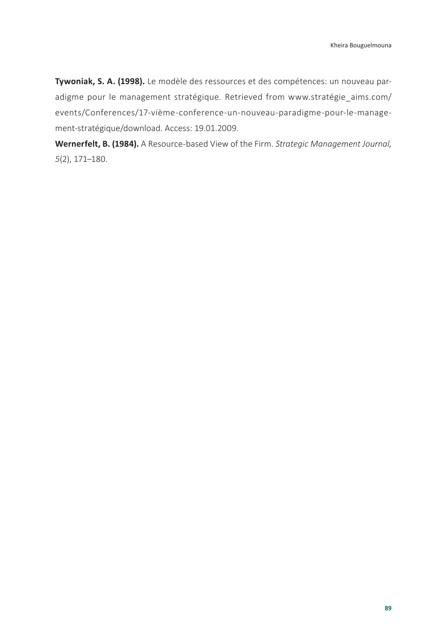**Tywoniak, S. A. (1998).** Le modèle des ressources et des compétences: un nouveau paradigme pour le management stratégique. Retrieved from www.stratégie aims.com/ [events/Conferences/17-vième-conference-un-nouveau-paradigme-pour-le-manage](http://www.stratégie_aims.com/events/Conferences/17-vième-conference-un-nouveau-paradigme-pour-le-management-stratégique/download)[ment-stratégique/download.](http://www.stratégie_aims.com/events/Conferences/17-vième-conference-un-nouveau-paradigme-pour-le-management-stratégique/download) Access: 19.01.2009.

**Wernerfelt, B. (1984).** A Resource-based View of the Firm. *Strategic Management Journal, 5*(2), 171–180.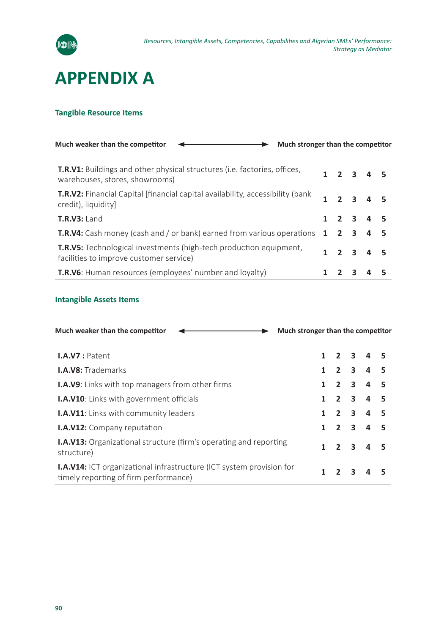

## **APPENDIX A**

#### **Tangible Resource Items**

| Much weaker than the competitor<br>Much stronger than the competitor                                               |  |   |                     |  |
|--------------------------------------------------------------------------------------------------------------------|--|---|---------------------|--|
| <b>T.R.V1:</b> Buildings and other physical structures (i.e. factories, offices,<br>warehouses, stores, showrooms) |  |   | $1 \t2 \t3 \t4 \t5$ |  |
| <b>T.R.V2:</b> Financial Capital [financial capital availability, accessibility (bank)<br>credit), liquidity       |  |   | $1$ $2$ $3$ $4$ $5$ |  |
| $T.R.V3:$ Land                                                                                                     |  |   | $1 \t2 \t3 \t4 \t5$ |  |
| T.R.V4: Cash money (cash and / or bank) earned from various operations 1 2 3 4 5                                   |  |   |                     |  |
| T.R.V5: Technological investments (high-tech production equipment,<br>facilities to improve customer service)      |  |   | $1 \t2 \t3 \t4 \t5$ |  |
| <b>T.R.V6:</b> Human resources (employees' number and loyalty)                                                     |  | 3 |                     |  |

#### **Intangible Assets Items**

| Much stronger than the competitor<br>Much weaker than the competitor                                                 |   |                             |   |                     |     |
|----------------------------------------------------------------------------------------------------------------------|---|-----------------------------|---|---------------------|-----|
| $I.A.V7:$ Patent                                                                                                     |   |                             |   | $1 \t2 \t3 \t4 \t5$ |     |
| <b>I.A.V8:</b> Trademarks                                                                                            |   | $1 \quad 2 \quad 3 \quad 4$ |   |                     |     |
| <b>I.A.V9:</b> Links with top managers from other firms                                                              |   | $1 \quad 2 \quad 3 \quad 4$ |   |                     | - 5 |
| <b>I.A.V10</b> : Links with government officials                                                                     |   |                             |   | $1 \t2 \t3 \t4 \t5$ |     |
| <b>I.A.V11:</b> Links with community leaders                                                                         |   |                             |   | $1 \t2 \t3 \t4 \t5$ |     |
| <b>I.A.V12:</b> Company reputation                                                                                   |   | $1 \quad 2 \quad 3 \quad 4$ |   |                     | - 5 |
| <b>I.A.V13:</b> Organizational structure (firm's operating and reporting<br>structure)                               | 1 |                             |   | 2 3 4 5             |     |
| <b>I.A.V14:</b> ICT organizational infrastructure (ICT system provision for<br>timely reporting of firm performance) | 1 |                             | ર |                     |     |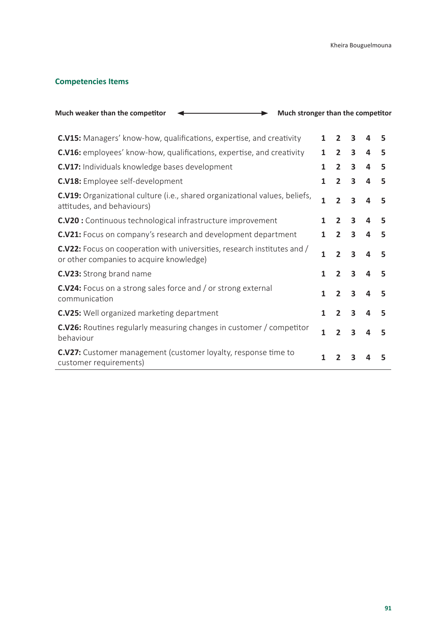#### **Competencies Items**

| Much weaker than the competitor<br>Much stronger than the competitor                                                        |              |                |                         |   |   |
|-----------------------------------------------------------------------------------------------------------------------------|--------------|----------------|-------------------------|---|---|
| <b>C.V15:</b> Managers' know-how, qualifications, expertise, and creativity                                                 | $\mathbf{1}$ | $\overline{2}$ | 3                       | 4 | 5 |
| <b>C.V16:</b> employees' know-how, qualifications, expertise, and creativity                                                | 1            | $\overline{2}$ | $\overline{\mathbf{3}}$ | 4 | 5 |
| <b>C.V17:</b> Individuals knowledge bases development                                                                       | 1            | $\overline{2}$ | 3                       | 4 | 5 |
| <b>C.V18:</b> Employee self-development                                                                                     | $\mathbf{1}$ | $\overline{2}$ | 3                       | 4 | 5 |
| <b>C.V19:</b> Organizational culture (i.e., shared organizational values, beliefs,<br>attitudes, and behaviours)            | 1            | $\overline{2}$ | $\overline{\mathbf{3}}$ | 4 | 5 |
| <b>C.V20</b> : Continuous technological infrastructure improvement                                                          | 1            | $\overline{2}$ | 3                       | 4 | 5 |
| <b>C.V21:</b> Focus on company's research and development department                                                        | 1            | $\overline{2}$ | 3                       | 4 | 5 |
| <b>C.V22:</b> Focus on cooperation with universities, research institutes and /<br>or other companies to acquire knowledge) | 1            | $\overline{2}$ | 3                       | 4 | 5 |
| <b>C.V23:</b> Strong brand name                                                                                             | 1            | $\overline{2}$ | $\overline{3}$          | 4 | 5 |
| <b>C.V24:</b> Focus on a strong sales force and / or strong external<br>communication                                       | 1            | $\overline{2}$ | 3                       | 4 | 5 |
| <b>C.V25:</b> Well organized marketing department                                                                           | 1            | $\overline{2}$ | 3                       | Δ | 5 |
| <b>C.V26:</b> Routines regularly measuring changes in customer / competitor<br>behaviour                                    | 1            | $\overline{z}$ | 3                       | 4 | 5 |
| <b>C.V27:</b> Customer management (customer loyalty, response time to<br>customer requirements)                             | 1            | 2              | 3                       |   | 5 |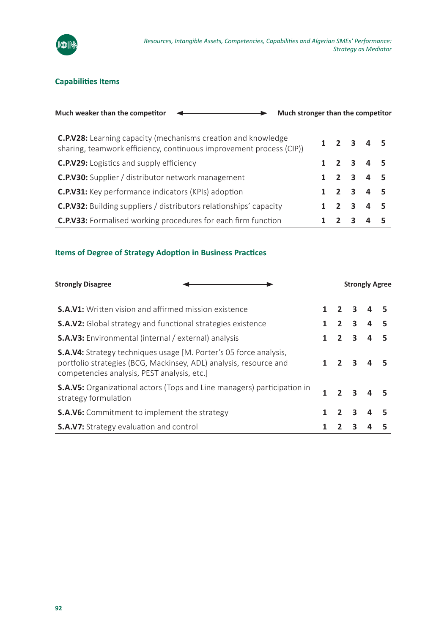

#### **Capabilities Items**

| Much stronger than the competitor<br>Much weaker than the competitor                                                                        |  |   |                                     |  |
|---------------------------------------------------------------------------------------------------------------------------------------------|--|---|-------------------------------------|--|
| <b>C.P.V28:</b> Learning capacity (mechanisms creation and knowledge<br>sharing, teamwork efficiency, continuous improvement process (CIP)) |  |   | $1 \t2 \t3 \t4 \t5$                 |  |
| <b>C.P.V29:</b> Logistics and supply efficiency                                                                                             |  |   | $1 \t2 \t3 \t4 \t5$                 |  |
| <b>C.P.V30:</b> Supplier / distributor network management                                                                                   |  |   | $1 \quad 2 \quad 3 \quad 4 \quad 5$ |  |
| <b>C.P.V31:</b> Key performance indicators (KPIs) adoption                                                                                  |  |   | $1 \t2 \t3 \t4 \t5$                 |  |
| <b>C.P.V32:</b> Building suppliers / distributors relationships' capacity                                                                   |  |   | $1 \t2 \t3 \t4 \t5$                 |  |
| <b>C.P.V33:</b> Formalised working procedures for each firm function                                                                        |  | ર |                                     |  |

#### **Items of Degree of Strategy Adoption in Business Practices**

| <b>Strongly Disagree</b>                                                                                                                                                                    |  | <b>Strongly Agree</b> |                         |  |  |
|---------------------------------------------------------------------------------------------------------------------------------------------------------------------------------------------|--|-----------------------|-------------------------|--|--|
| <b>S.A.V1:</b> Written vision and affirmed mission existence                                                                                                                                |  | $1 \quad 2 \quad 3$   |                         |  |  |
| <b>S.A.V2:</b> Global strategy and functional strategies existence                                                                                                                          |  |                       | $2 \quad 3$             |  |  |
| <b>S.A.V3:</b> Environmental (internal / external) analysis                                                                                                                                 |  | 2 <sub>3</sub>        |                         |  |  |
| <b>S.A.V4:</b> Strategy techniques usage [M. Porter's 05 force analysis,<br>portfolio strategies (BCG, Mackinsey, ADL) analysis, resource and<br>competencies analysis, PEST analysis, etc. |  |                       | $\overline{\mathbf{3}}$ |  |  |
| <b>S.A.V5:</b> Organizational actors (Tops and Line managers) participation in<br>strategy formulation                                                                                      |  |                       | $\overline{\mathbf{3}}$ |  |  |
| <b>S.A.V6:</b> Commitment to implement the strategy                                                                                                                                         |  | 2 <sub>3</sub>        |                         |  |  |
| <b>S.A.V7:</b> Strategy evaluation and control                                                                                                                                              |  |                       | 3                       |  |  |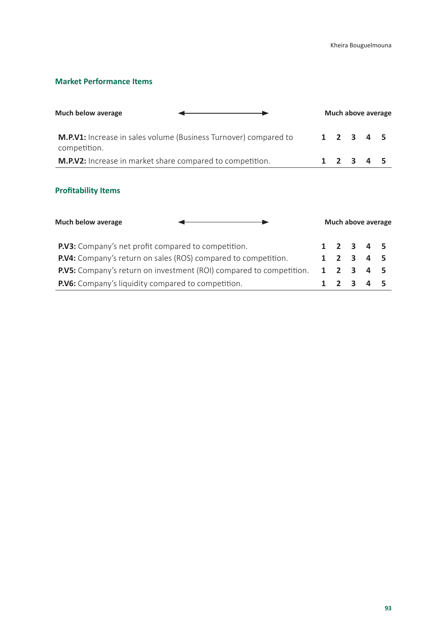#### **Market Performance Items**

| Much below average                                                                      |  |  |  |                     |  |  |  | Much above average |
|-----------------------------------------------------------------------------------------|--|--|--|---------------------|--|--|--|--------------------|
| <b>M.P.V1:</b> Increase in sales volume (Business Turnover) compared to<br>competition. |  |  |  | $1 \t2 \t3 \t4 \t5$ |  |  |  |                    |
| <b>M.P.V2:</b> Increase in market share compared to competition.                        |  |  |  | $1 \t2 \t3 \t4 \t5$ |  |  |  |                    |

#### **Profitability Items**

| Much below average                                                         | Much above average |  |  |                     |  |  |  |  |  |
|----------------------------------------------------------------------------|--------------------|--|--|---------------------|--|--|--|--|--|
| <b>P.V3:</b> Company's net profit compared to competition.                 |                    |  |  | $1 \t2 \t3 \t4 \t5$ |  |  |  |  |  |
| <b>P.V4:</b> Company's return on sales (ROS) compared to competition.      |                    |  |  | $1 \t2 \t3 \t4 \t5$ |  |  |  |  |  |
| <b>P.V5:</b> Company's return on investment (ROI) compared to competition. |                    |  |  | $1 \t2 \t3 \t4 \t5$ |  |  |  |  |  |
| <b>P.V6:</b> Company's liquidity compared to competition.                  |                    |  |  |                     |  |  |  |  |  |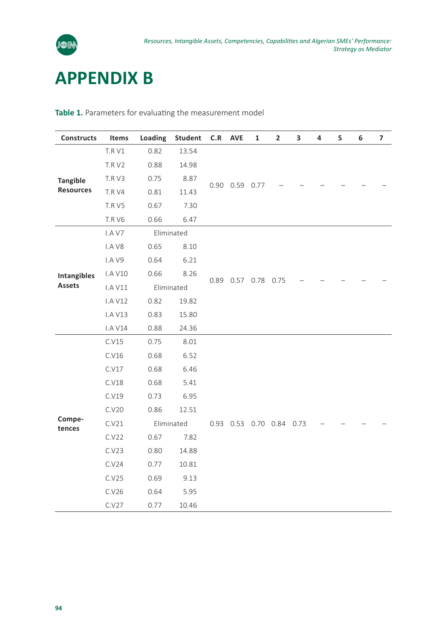

## **APPENDIX B**

| <b>Constructs</b>                   | Items          | Loading | Student    | C.R                 | <b>AVE</b>     | 1                        | $\overline{2}$ | 3 | 4 | 5 | 6 | $\overline{\phantom{a}}$ |
|-------------------------------------|----------------|---------|------------|---------------------|----------------|--------------------------|----------------|---|---|---|---|--------------------------|
|                                     | <b>T.R V1</b>  | 0.82    | 13.54      |                     |                |                          |                |   |   |   |   |                          |
|                                     | <b>T.R V2</b>  | 0.88    | 14.98      |                     | 0.90 0.59 0.77 |                          |                |   |   |   |   |                          |
| <b>Tangible</b><br><b>Resources</b> | T.R V3         | 0.75    | 8.87       |                     |                |                          |                |   |   |   |   |                          |
|                                     | <b>T.R V4</b>  | 0.81    | 11.43      |                     |                |                          |                |   |   |   |   |                          |
|                                     | <b>T.R V5</b>  | 0.67    | 7.30       |                     |                |                          |                |   |   |   |   |                          |
|                                     | <b>T.R V6</b>  | 0.66    | 6.47       |                     |                |                          |                |   |   |   |   |                          |
|                                     | I.A V7         |         | Eliminated |                     |                |                          |                |   |   |   |   |                          |
|                                     | I.A V8         | 0.65    | 8.10       |                     |                |                          |                |   |   |   |   |                          |
|                                     | I.A V9         | 0.64    | 6.21       |                     |                |                          |                |   |   |   |   |                          |
| <b>Intangibles</b>                  | <b>I.A V10</b> | 0.66    | 8.26       |                     |                |                          |                |   |   |   |   |                          |
| <b>Assets</b>                       | I.A V11        |         | Eliminated | 0.89 0.57 0.78 0.75 |                |                          |                |   |   |   |   |                          |
|                                     | <b>I.A V12</b> | 0.82    | 19.82      |                     |                |                          |                |   |   |   |   |                          |
|                                     | <b>I.A V13</b> | 0.83    | 15.80      |                     |                |                          |                |   |   |   |   |                          |
|                                     | <b>I.A V14</b> | 0.88    | 24.36      |                     |                |                          |                |   |   |   |   |                          |
|                                     | C.V15          | 0.75    | 8.01       |                     |                |                          |                |   |   |   |   |                          |
|                                     | C.V16          | 0.68    | 6.52       |                     |                |                          |                |   |   |   |   |                          |
|                                     | C.V17          | 0.68    | 6.46       |                     |                |                          |                |   |   |   |   |                          |
|                                     | C.V18          | 0.68    | 5.41       |                     |                |                          |                |   |   |   |   |                          |
|                                     | C.V19          | 0.73    | 6.95       |                     |                |                          |                |   |   |   |   |                          |
|                                     | C.V20          | 0.86    | 12.51      |                     |                |                          |                |   |   |   |   |                          |
| Compe-<br>tences                    | C.V21          |         | Eliminated |                     |                | 0.93 0.53 0.70 0.84 0.73 |                |   |   |   |   |                          |
|                                     | C.V22          | 0.67    | 7.82       |                     |                |                          |                |   |   |   |   |                          |
|                                     | C.V23          | 0.80    | 14.88      |                     |                |                          |                |   |   |   |   |                          |
|                                     | C.V24          | 0.77    | 10.81      |                     |                |                          |                |   |   |   |   |                          |
|                                     | C.V25          | 0.69    | 9.13       |                     |                |                          |                |   |   |   |   |                          |
|                                     | C.V26          | 0.64    | 5.95       |                     |                |                          |                |   |   |   |   |                          |
|                                     | C.V27          | 0.77    | 10.46      |                     |                |                          |                |   |   |   |   |                          |

**Table 1.** Parameters for evaluating the measurement model